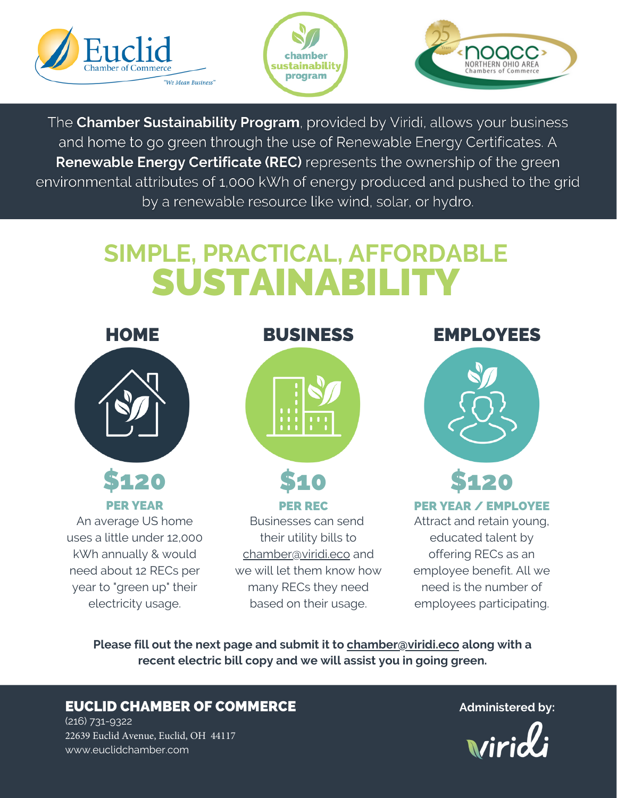





The Chamber Sustainability Program, provided by Viridi, allows your business and home to go green through the use of Renewable Energy Certificates. A **Renewable Energy Certificate (REC)** represents the ownership of the green environmental attributes of 1,000 kWh of energy produced and pushed to the grid by a renewable resource like wind, solar, or hydro.

## **SIMPLE, PRACTICAL, AFFORDABLE** SUSTAINABILI



**Please fill out the next page and submit it to chamber@viridi.eco along with a recent electric bill copy and we will assist you in going green.**

## EUCLID CHAMBER OF COMMERCE

(216) 731-9322 22639 Euclid Avenue, Euclid, OH 44117 www.euclidchamber.com

**Administered by:**